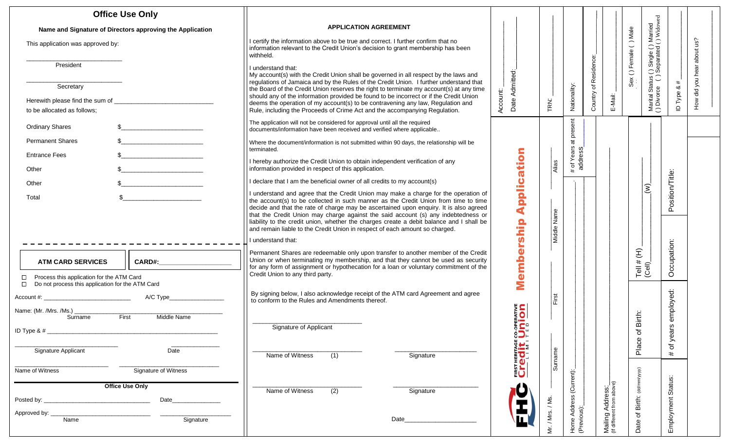| <b>Office Use Only</b>                                                                                       |                                                                                                                                                                                                                                                                                                                                                                                                                                                                                                                                     |                                |                 |                                   |                             | ъğ                                                                              |                 |  |
|--------------------------------------------------------------------------------------------------------------|-------------------------------------------------------------------------------------------------------------------------------------------------------------------------------------------------------------------------------------------------------------------------------------------------------------------------------------------------------------------------------------------------------------------------------------------------------------------------------------------------------------------------------------|--------------------------------|-----------------|-----------------------------------|-----------------------------|---------------------------------------------------------------------------------|-----------------|--|
| Name and Signature of Directors approving the Application                                                    | <b>APPLICATION AGREEMENT</b>                                                                                                                                                                                                                                                                                                                                                                                                                                                                                                        |                                |                 |                                   |                             |                                                                                 |                 |  |
| This application was approved by:                                                                            | I certify the information above to be true and correct. I further confirm that no<br>information relevant to the Credit Union's decision to grant membership has been<br>withheld.                                                                                                                                                                                                                                                                                                                                                  |                                |                 |                                   |                             | () Single () Married<br>Separated () Widow<br>Sex () Female () Male             | us?<br>about    |  |
| President                                                                                                    | I understand that:<br>My account(s) with the Credit Union shall be governed in all respect by the laws and                                                                                                                                                                                                                                                                                                                                                                                                                          |                                |                 |                                   | of Residence                |                                                                                 | did you hear    |  |
| Secretary                                                                                                    | regulations of Jamaica and by the Rules of the Credit Union. I further understand that<br>the Board of the Credit Union reserves the right to terminate my account(s) at any time                                                                                                                                                                                                                                                                                                                                                   |                                |                 |                                   |                             |                                                                                 | #<br>య          |  |
| Herewith please find the sum of _<br>to be allocated as follows:                                             | should any of the information provided be found to be incorrect or if the Credit Union<br>deems the operation of my account(s) to be contravening any law, Regulation and<br>Rule, including the Proceeds of Crime Act and the accompanying Regulation.                                                                                                                                                                                                                                                                             | Date Admitted:<br>Account:     | TRN:            | Nationality:                      | Country<br>E-Mail:          | Marital Status (<br>() Divorce ()                                               | ID Type<br>How  |  |
| <b>Ordinary Shares</b><br><u> 1980 - Jan Barbara Barbara, manazarta bash</u>                                 | The application will not be considered for approval until all the required<br>documents/information have been received and verified where applicable                                                                                                                                                                                                                                                                                                                                                                                |                                |                 | present                           |                             |                                                                                 |                 |  |
| $\frac{1}{2}$<br><b>Permanent Shares</b>                                                                     | Where the document/information is not submitted within 90 days, the relationship will be<br>terminated.                                                                                                                                                                                                                                                                                                                                                                                                                             |                                |                 | $\vec{a}$<br>_ ຕ່                 |                             |                                                                                 |                 |  |
| <b>Entrance Fees</b><br><u> 1989 - Johann Barbara, martxa al</u><br>Other                                    | I hereby authorize the Credit Union to obtain independent verification of any<br>information provided in respect of this application.                                                                                                                                                                                                                                                                                                                                                                                               | atio                           | Alias           | t of Year<br>address<br>$\ddot{}$ |                             |                                                                                 |                 |  |
| $\frac{1}{2}$<br>Other                                                                                       | I declare that I am the beneficial owner of all credits to my account(s)                                                                                                                                                                                                                                                                                                                                                                                                                                                            |                                |                 |                                   |                             |                                                                                 |                 |  |
| <u> 1980 - Jan Barbara III, martx</u><br>Total                                                               | I understand and agree that the Credit Union may make a charge for the operation of<br>the account(s) to be collected in such manner as the Credit Union from time to time<br>decide and that the rate of charge may be ascertained upon enquiry. It is also agreed<br>that the Credit Union may charge against the said account (s) any indebtedness or<br>liability to the credit union, whether the charges create a debit balance and I shall be<br>and remain liable to the Credit Union in respect of each amount so charged. | Applica                        | Middle Name     |                                   |                             | $\widehat{\mathcal{E}}$                                                         | Position/Title: |  |
|                                                                                                              | I understand that:                                                                                                                                                                                                                                                                                                                                                                                                                                                                                                                  | rship                          |                 |                                   |                             |                                                                                 |                 |  |
| <b>ATM CARD SERVICES</b><br><b>CARD#:</b>                                                                    | Permanent Shares are redeemable only upon transfer to another member of the Credit<br>Union or when terminating my membership, and that they cannot be used as security<br>for any form of assignment or hypothecation for a loan or voluntary commitment of the                                                                                                                                                                                                                                                                    | embe                           |                 |                                   |                             | # (H)<br>$\begin{array}{c} \mathsf{Tell} \ \sharp \\ \mathsf{CeII} \end{array}$ | Occupation:     |  |
| Process this application for the ATM Card<br>□<br>$\Box$<br>Do not process this application for the ATM Card | Credit Union to any third party.                                                                                                                                                                                                                                                                                                                                                                                                                                                                                                    | Ź                              |                 |                                   |                             |                                                                                 |                 |  |
| A/C Type_                                                                                                    | By signing below, I also acknowledge receipt of the ATM card Agreement and agree<br>to conform to the Rules and Amendments thereof.                                                                                                                                                                                                                                                                                                                                                                                                 |                                | $\frac{1}{2}$   |                                   |                             |                                                                                 | employed:       |  |
| Name: (Mr. /Mrs. /Ms.)<br>First<br>Middle Name<br>Surname<br>ID Type & $#_$                                  | Signature of Applicant                                                                                                                                                                                                                                                                                                                                                                                                                                                                                                              | i<br>On<br>$\mathbf{C}$<br>∛⊃⊧ |                 |                                   |                             | Birth:<br>৳                                                                     | $\omega$<br>yea |  |
| Signature Applicant<br>Date                                                                                  | Name of Witness<br>(1)<br>Signature                                                                                                                                                                                                                                                                                                                                                                                                                                                                                                 | <b>Credit</b>                  | Surname         |                                   |                             | Place                                                                           | ৳<br>#          |  |
| Signature of Witness<br>Name of Witness                                                                      |                                                                                                                                                                                                                                                                                                                                                                                                                                                                                                                                     |                                |                 |                                   |                             |                                                                                 |                 |  |
| <b>Office Use Only</b>                                                                                       | Name of Witness<br>(2)<br>Signature                                                                                                                                                                                                                                                                                                                                                                                                                                                                                                 |                                |                 | (Current):                        |                             |                                                                                 | Status:         |  |
| Date_<br>Posted by: _                                                                                        |                                                                                                                                                                                                                                                                                                                                                                                                                                                                                                                                     |                                |                 | e Address<br>ious):               | Address:_<br>nt from above) |                                                                                 |                 |  |
| Approved by:<br>Name<br>Signature                                                                            | Date                                                                                                                                                                                                                                                                                                                                                                                                                                                                                                                                |                                | Mr. / Mrs. / Ms | Home<br>(Previc                   | Mailing<br>(If differen     | Date of Birth: (dd/mm/yyyy)                                                     | Employment      |  |